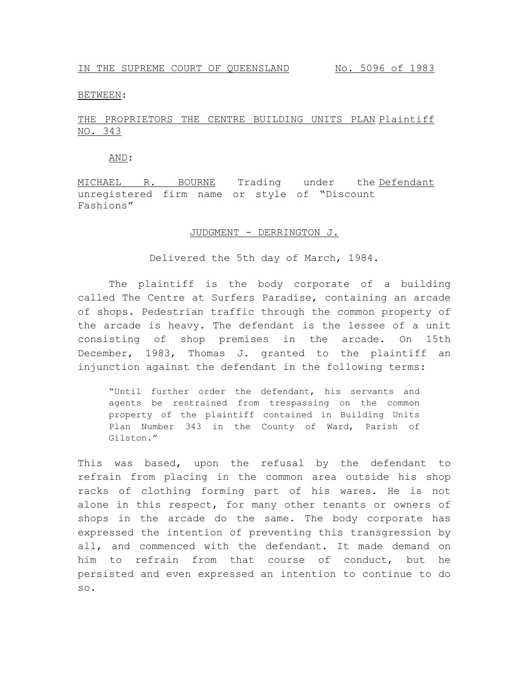BETWEEN:

## THE PROPRIETORS THE CENTRE BUILDING UNITS PLAN Plaintiff NO. 343

AND:

MICHAEL R. BOURNE Trading under the Defendant unregistered firm name or style of "Discount Fashions"

## JUDGMENT - DERRINGTON J.

Delivered the 5th day of March, 1984.

The plaintiff is the body corporate of a building called The Centre at Surfers Paradise, containing an arcade of shops. Pedestrian traffic through the common property of the arcade is heavy. The defendant is the lessee of a unit consisting of shop premises in the arcade. On 15th December, 1983, Thomas J. granted to the plaintiff an injunction against the defendant in the following terms:

"Until further order the defendant, his servants and agents be restrained from trespassing on the common property of the plaintiff contained in Building Units Plan Number 343 in the County of Ward, Parish of Gilston."

This was based, upon the refusal by the defendant to refrain from placing in the common area outside his shop racks of clothing forming part of his wares. He is not alone in this respect, for many other tenants or owners of shops in the arcade do the same. The body corporate has expressed the intention of preventing this transgression by all, and commenced with the defendant. It made demand on him to refrain from that course of conduct, but he persisted and even expressed an intention to continue to do so.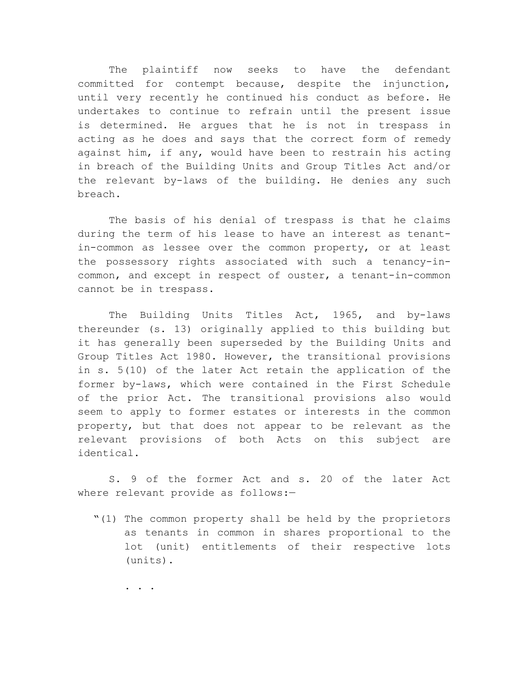The plaintiff now seeks to have the defendant committed for contempt because, despite the injunction, until very recently he continued his conduct as before. He undertakes to continue to refrain until the present issue is determined. He argues that he is not in trespass in acting as he does and says that the correct form of remedy against him, if any, would have been to restrain his acting in breach of the Building Units and Group Titles Act and/or the relevant by-laws of the building. He denies any such breach.

The basis of his denial of trespass is that he claims during the term of his lease to have an interest as tenantin-common as lessee over the common property, or at least the possessory rights associated with such a tenancy-incommon, and except in respect of ouster, a tenant-in-common cannot be in trespass.

The Building Units Titles Act, 1965, and by-laws thereunder (s. 13) originally applied to this building but it has generally been superseded by the Building Units and Group Titles Act 1980. However, the transitional provisions in s. 5(10) of the later Act retain the application of the former by-laws, which were contained in the First Schedule of the prior Act. The transitional provisions also would seem to apply to former estates or interests in the common property, but that does not appear to be relevant as the relevant provisions of both Acts on this subject are identical.

S. 9 of the former Act and s. 20 of the later Act where relevant provide as follows:-

"(1) The common property shall be held by the proprietors as tenants in common in shares proportional to the lot (unit) entitlements of their respective lots (units).

. . .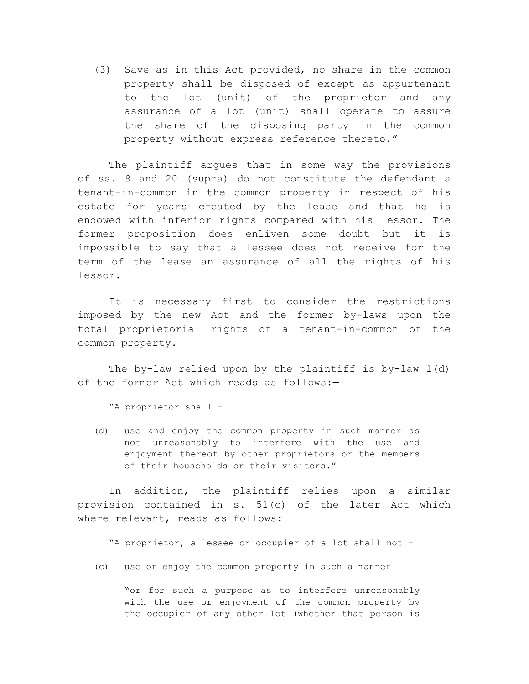(3) Save as in this Act provided, no share in the common property shall be disposed of except as appurtenant to the lot (unit) of the proprietor and any assurance of a lot (unit) shall operate to assure the share of the disposing party in the common property without express reference thereto."

The plaintiff argues that in some way the provisions of ss. 9 and 20 (supra) do not constitute the defendant a tenant-in-common in the common property in respect of his estate for years created by the lease and that he is endowed with inferior rights compared with his lessor. The former proposition does enliven some doubt but it is impossible to say that a lessee does not receive for the term of the lease an assurance of all the rights of his lessor.

It is necessary first to consider the restrictions imposed by the new Act and the former by-laws upon the total proprietorial rights of a tenant-in-common of the common property.

The by-law relied upon by the plaintiff is by-law 1(d) of the former Act which reads as follows:—

"A proprietor shall -

(d) use and enjoy the common property in such manner as not unreasonably to interfere with the use and enjoyment thereof by other proprietors or the members of their households or their visitors."

In addition, the plaintiff relies upon a similar provision contained in s. 51(c) of the later Act which where relevant, reads as follows:-

"A proprietor, a lessee or occupier of a lot shall not -

(c) use or enjoy the common property in such a manner

"or for such a purpose as to interfere unreasonably with the use or enjoyment of the common property by the occupier of any other lot (whether that person is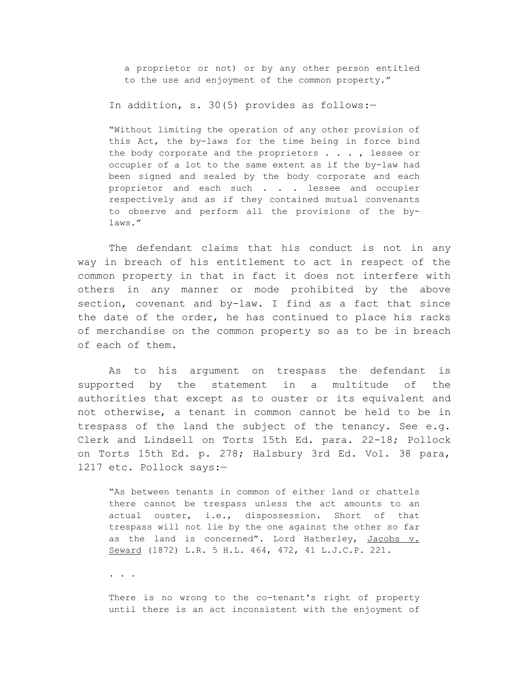a proprietor or not) or by any other person entitled to the use and enjoyment of the common property."

In addition, s. 30(5) provides as follows:-

"Without limiting the operation of any other provision of this Act, the by-laws for the time being in force bind the body corporate and the proprietors . . . , lessee or occupier of a lot to the same extent as if the by-law had been signed and sealed by the body corporate and each proprietor and each such . . . lessee and occupier respectively and as if they contained mutual convenants to observe and perform all the provisions of the bylaws."

The defendant claims that his conduct is not in any way in breach of his entitlement to act in respect of the common property in that in fact it does not interfere with others in any manner or mode prohibited by the above section, covenant and by-law. I find as a fact that since the date of the order, he has continued to place his racks of merchandise on the common property so as to be in breach of each of them.

As to his argument on trespass the defendant is supported by the statement in a multitude of the authorities that except as to ouster or its equivalent and not otherwise, a tenant in common cannot be held to be in trespass of the land the subject of the tenancy. See e.g. Clerk and Lindsell on Torts 15th Ed. para. 22-18; Pollock on Torts 15th Ed. p. 278; Halsbury 3rd Ed. Vol. 38 para, 1217 etc. Pollock says:—

"As between tenants in common of either land or chattels there cannot be trespass unless the act amounts to an actual ouster, i.e., dispossession. Short of that trespass will not lie by the one against the other so far as the land is concerned". Lord Hatherley, Jacobs v. Seward (1872) L.R. 5 H.L. 464, 472, 41 L.J.C.P. 221.

. . .

There is no wrong to the co-tenant's right of property until there is an act inconsistent with the enjoyment of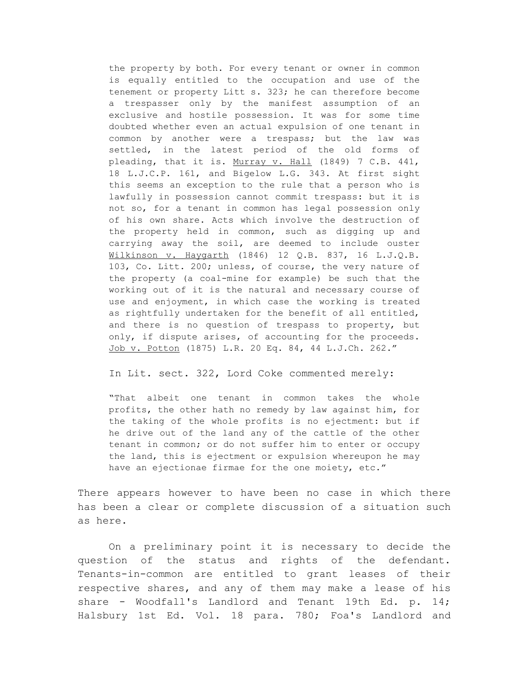the property by both. For every tenant or owner in common is equally entitled to the occupation and use of the tenement or property Litt s. 323; he can therefore become a trespasser only by the manifest assumption of an exclusive and hostile possession. It was for some time doubted whether even an actual expulsion of one tenant in common by another were a trespass; but the law was settled, in the latest period of the old forms of pleading, that it is. Murray v. Hall (1849) 7 C.B. 441, 18 L.J.C.P. 161, and Bigelow L.G. 343. At first sight this seems an exception to the rule that a person who is lawfully in possession cannot commit trespass: but it is not so, for a tenant in common has legal possession only of his own share. Acts which involve the destruction of the property held in common, such as digging up and carrying away the soil, are deemed to include ouster Wilkinson v. Haygarth (1846) 12 Q.B. 837, 16 L.J.Q.B. 103, Co. Litt. 200; unless, of course, the very nature of the property (a coal-mine for example) be such that the working out of it is the natural and necessary course of use and enjoyment, in which case the working is treated as rightfully undertaken for the benefit of all entitled, and there is no question of trespass to property, but only, if dispute arises, of accounting for the proceeds. Job v. Potton (1875) L.R. 20 Eq. 84, 44 L.J.Ch. 262."

In Lit. sect. 322, Lord Coke commented merely:

"That albeit one tenant in common takes the whole profits, the other hath no remedy by law against him, for the taking of the whole profits is no ejectment: but if he drive out of the land any of the cattle of the other tenant in common; or do not suffer him to enter or occupy the land, this is ejectment or expulsion whereupon he may have an ejectionae firmae for the one moiety, etc."

There appears however to have been no case in which there has been a clear or complete discussion of a situation such as here.

On a preliminary point it is necessary to decide the question of the status and rights of the defendant. Tenants-in-common are entitled to grant leases of their respective shares, and any of them may make a lease of his share - Woodfall's Landlord and Tenant 19th Ed. p. 14; Halsbury 1st Ed. Vol. 18 para. 780; Foa's Landlord and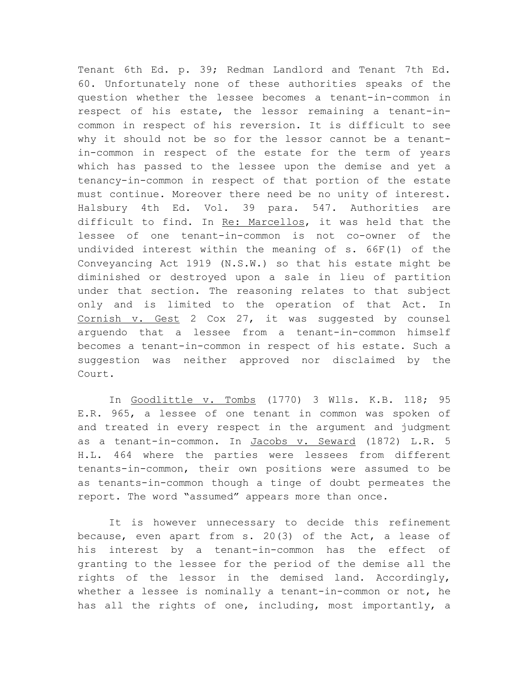Tenant 6th Ed. p. 39; Redman Landlord and Tenant 7th Ed. 60. Unfortunately none of these authorities speaks of the question whether the lessee becomes a tenant-in-common in respect of his estate, the lessor remaining a tenant-incommon in respect of his reversion. It is difficult to see why it should not be so for the lessor cannot be a tenantin-common in respect of the estate for the term of years which has passed to the lessee upon the demise and yet a tenancy-in-common in respect of that portion of the estate must continue. Moreover there need be no unity of interest. Halsbury 4th Ed. Vol. 39 para. 547. Authorities are difficult to find. In Re: Marcellos, it was held that the lessee of one tenant-in-common is not co-owner of the undivided interest within the meaning of s. 66F(1) of the Conveyancing Act 1919 (N.S.W.) so that his estate might be diminished or destroyed upon a sale in lieu of partition under that section. The reasoning relates to that subject only and is limited to the operation of that Act. In Cornish v. Gest 2 Cox 27, it was suggested by counsel arguendo that a lessee from a tenant-in-common himself becomes a tenant-in-common in respect of his estate. Such a suggestion was neither approved nor disclaimed by the Court.

In Goodlittle v. Tombs (1770) 3 Wlls. K.B. 118; 95 E.R. 965, a lessee of one tenant in common was spoken of and treated in every respect in the argument and judgment as a tenant-in-common. In Jacobs v. Seward (1872) L.R. 5 H.L. 464 where the parties were lessees from different tenants-in-common, their own positions were assumed to be as tenants-in-common though a tinge of doubt permeates the report. The word "assumed" appears more than once.

It is however unnecessary to decide this refinement because, even apart from s. 20(3) of the Act, a lease of his interest by a tenant-in-common has the effect of granting to the lessee for the period of the demise all the rights of the lessor in the demised land. Accordingly, whether a lessee is nominally a tenant-in-common or not, he has all the rights of one, including, most importantly, a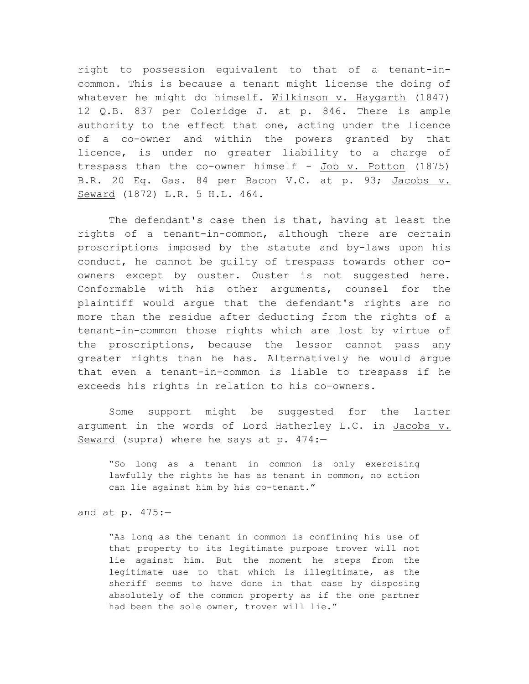right to possession equivalent to that of a tenant-incommon. This is because a tenant might license the doing of whatever he might do himself. Wilkinson v. Haygarth (1847) 12 Q.B. 837 per Coleridge J. at p. 846. There is ample authority to the effect that one, acting under the licence of a co-owner and within the powers granted by that licence, is under no greater liability to a charge of trespass than the co-owner himself -  $Job$  v. Potton (1875) B.R. 20 Eq. Gas. 84 per Bacon V.C. at p. 93; Jacobs v. Seward (1872) L.R. 5 H.L. 464.

The defendant's case then is that, having at least the rights of a tenant-in-common, although there are certain proscriptions imposed by the statute and by-laws upon his conduct, he cannot be guilty of trespass towards other coowners except by ouster. Ouster is not suggested here. Conformable with his other arguments, counsel for the plaintiff would argue that the defendant's rights are no more than the residue after deducting from the rights of a tenant-in-common those rights which are lost by virtue of the proscriptions, because the lessor cannot pass any greater rights than he has. Alternatively he would argue that even a tenant-in-common is liable to trespass if he exceeds his rights in relation to his co-owners.

Some support might be suggested for the latter argument in the words of Lord Hatherley L.C. in Jacobs v. Seward (supra) where he says at p. 474:—

"So long as a tenant in common is only exercising lawfully the rights he has as tenant in common, no action can lie against him by his co-tenant."

and at p. 475:—

"As long as the tenant in common is confining his use of that property to its legitimate purpose trover will not lie against him. But the moment he steps from the legitimate use to that which is illegitimate, as the sheriff seems to have done in that case by disposing absolutely of the common property as if the one partner had been the sole owner, trover will lie."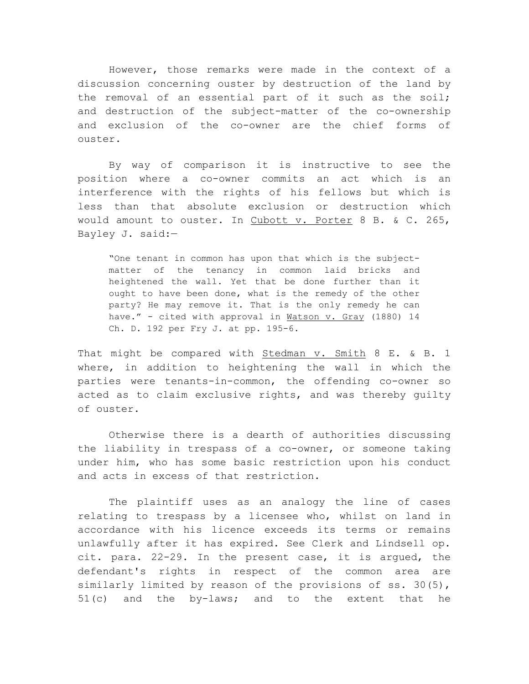However, those remarks were made in the context of a discussion concerning ouster by destruction of the land by the removal of an essential part of it such as the soil; and destruction of the subject-matter of the co-ownership and exclusion of the co-owner are the chief forms of ouster.

By way of comparison it is instructive to see the position where a co-owner commits an act which is an interference with the rights of his fellows but which is less than that absolute exclusion or destruction which would amount to ouster. In Cubott v. Porter 8 B. & C. 265, Bayley J. said:—

"One tenant in common has upon that which is the subjectmatter of the tenancy in common laid bricks and heightened the wall. Yet that be done further than it ought to have been done, what is the remedy of the other party? He may remove it. That is the only remedy he can have." - cited with approval in Watson v. Gray (1880) 14 Ch. D. 192 per Fry J. at pp. 195-6.

That might be compared with Stedman v. Smith 8 E. & B. 1 where, in addition to heightening the wall in which the parties were tenants-in-common, the offending co-owner so acted as to claim exclusive rights, and was thereby guilty of ouster.

Otherwise there is a dearth of authorities discussing the liability in trespass of a co-owner, or someone taking under him, who has some basic restriction upon his conduct and acts in excess of that restriction.

The plaintiff uses as an analogy the line of cases relating to trespass by a licensee who, whilst on land in accordance with his licence exceeds its terms or remains unlawfully after it has expired. See Clerk and Lindsell op. cit. para. 22-29. In the present case, it is argued, the defendant's rights in respect of the common area are similarly limited by reason of the provisions of ss. 30(5), 51(c) and the by-laws; and to the extent that he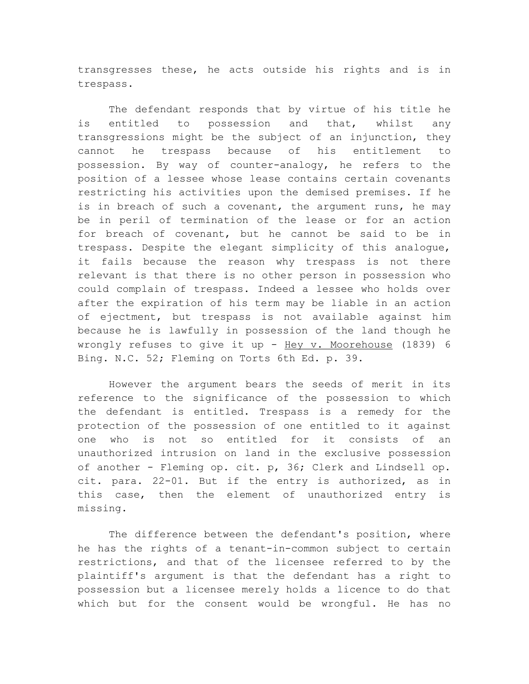transgresses these, he acts outside his rights and is in trespass.

The defendant responds that by virtue of his title he is entitled to possession and that, whilst any transgressions might be the subject of an injunction, they cannot he trespass because of his entitlement to possession. By way of counter-analogy, he refers to the position of a lessee whose lease contains certain covenants restricting his activities upon the demised premises. If he is in breach of such a covenant, the argument runs, he may be in peril of termination of the lease or for an action for breach of covenant, but he cannot be said to be in trespass. Despite the elegant simplicity of this analogue, it fails because the reason why trespass is not there relevant is that there is no other person in possession who could complain of trespass. Indeed a lessee who holds over after the expiration of his term may be liable in an action of ejectment, but trespass is not available against him because he is lawfully in possession of the land though he wrongly refuses to give it up - Hey v. Moorehouse (1839) 6 Bing. N.C. 52; Fleming on Torts 6th Ed. p. 39.

However the argument bears the seeds of merit in its reference to the significance of the possession to which the defendant is entitled. Trespass is a remedy for the protection of the possession of one entitled to it against one who is not so entitled for it consists of an unauthorized intrusion on land in the exclusive possession of another - Fleming op. cit. p, 36; Clerk and Lindsell op. cit. para. 22-01. But if the entry is authorized, as in this case, then the element of unauthorized entry is missing.

The difference between the defendant's position, where he has the rights of a tenant-in-common subject to certain restrictions, and that of the licensee referred to by the plaintiff's argument is that the defendant has a right to possession but a licensee merely holds a licence to do that which but for the consent would be wrongful. He has no